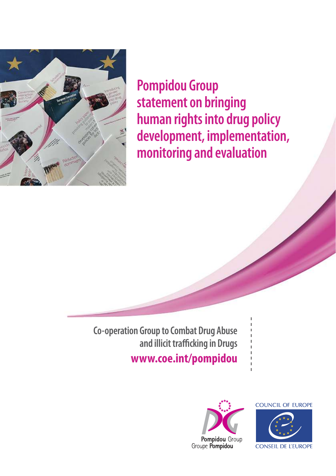

**Pompidou Group statement on bringing human rights into drug policy development, implementation, monitoring and evaluation**

**Co-operation Group to Combat Drug Abuse and illicit trafficking in Drugs www.coe.int/pompidou**



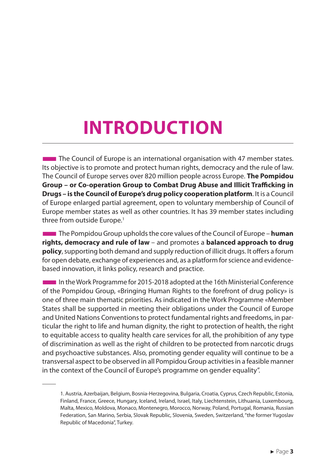## **INTRODUCTION**

**The Council of Europe is an international organisation with 47 member states.** Its objective is to promote and protect human rights, democracy and the rule of law. The Council of Europe serves over 820 million people across Europe. **The Pompidou Group – or Co-operation Group to Combat Drug Abuse and Illicit Trafficking in Drugs – is the Council of Europe's drug policy cooperation platform**. It is a Council of Europe enlarged partial agreement, open to voluntary membership of Council of Europe member states as well as other countries. It has 39 member states including three from outside Europe.<sup>1</sup>

**The Pompidou Group upholds the core values of the Council of Europe – human rights, democracy and rule of law** – and promotes a **balanced approach to drug policy**, supporting both demand and supply reduction of illicit drugs. It offers a forum for open debate, exchange of experiences and, as a platform for science and evidencebased innovation, it links policy, research and practice.

■In the Work Programme for 2015-2018 adopted at the 16th Ministerial Conference of the Pompidou Group, «Bringing Human Rights to the forefront of drug policy» is one of three main thematic priorities. As indicated in the Work Programme «Member States shall be supported in meeting their obligations under the Council of Europe and United Nations Conventions to protect fundamental rights and freedoms, in particular the right to life and human dignity, the right to protection of health, the right to equitable access to quality health care services for all, the prohibition of any type of discrimination as well as the right of children to be protected from narcotic drugs and psychoactive substances. Also, promoting gender equality will continue to be a transversal aspect to be observed in all Pompidou Group activities in a feasible manner in the context of the Council of Europe's programme on gender equality".

<sup>1.</sup> Austria, Azerbaijan, Belgium, Bosnia-Herzegovina, Bulgaria, Croatia, Cyprus, Czech Republic, Estonia, Finland, France, Greece, Hungary, Iceland, Ireland, Israel, Italy, Liechtenstein, Lithuania, Luxembourg, Malta, Mexico, Moldova, Monaco, Montenegro, Morocco, Norway, Poland, Portugal, Romania, Russian Federation, San Marino, Serbia, Slovak Republic, Slovenia, Sweden, Switzerland, "the former Yugoslav Republic of Macedonia", Turkey.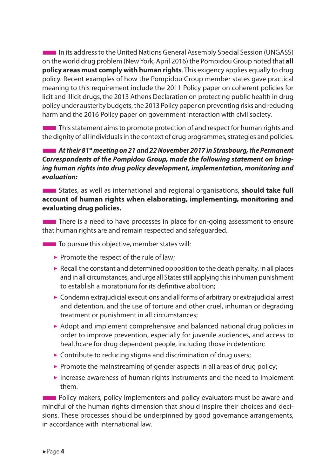■In its address to the United Nations General Assembly Special Session (UNGASS) on the world drug problem (New York, April 2016) the Pompidou Group noted that **all policy areas must comply with human rights**. This exigency applies equally to drug policy. Recent examples of how the Pompidou Group member states gave practical meaning to this requirement include the 2011 Policy paper on coherent policies for licit and illicit drugs, the 2013 Athens Declaration on protecting public health in drug policy under austerity budgets, the 2013 Policy paper on preventing risks and reducing harm and the 2016 Policy paper on government interaction with civil society.

 $\blacksquare$  This statement aims to promote protection of and respect for human rights and the dignity of all individuals in the context of drug programmes, strategies and policies.

■*At their 81st meeting on 21 and 22 November 2017 in Strasbourg, the Permanent Correspondents of the Pompidou Group, made the following statement on bringing human rights into drug policy development, implementation, monitoring and evaluation:*

■States, as well as international and regional organisations, **should take full account of human rights when elaborating, implementing, monitoring and evaluating drug policies.** 

**There is a need to have processes in place for on-going assessment to ensure** that human rights are and remain respected and safeguarded.

**The To pursue this objective, member states will:** 

- $\blacktriangleright$  Promote the respect of the rule of law;
- $\triangleright$  Recall the constant and determined opposition to the death penalty, in all places and in all circumstances, and urge all States still applying this inhuman punishment to establish a moratorium for its definitive abolition;
- $\triangleright$  Condemn extrajudicial executions and all forms of arbitrary or extrajudicial arrest and detention, and the use of torture and other cruel, inhuman or degrading treatment or punishment in all circumstances;
- $\triangleright$  Adopt and implement comprehensive and balanced national drug policies in order to improve prevention, especially for juvenile audiences, and access to healthcare for drug dependent people, including those in detention;
- $\triangleright$  Contribute to reducing stigma and discrimination of drug users;
- $\triangleright$  Promote the mainstreaming of gender aspects in all areas of drug policy;
- $\triangleright$  Increase awareness of human rights instruments and the need to implement them.

**EXECUTE:** Policy makers, policy implementers and policy evaluators must be aware and mindful of the human rights dimension that should inspire their choices and decisions. These processes should be underpinned by good governance arrangements, in accordance with international law.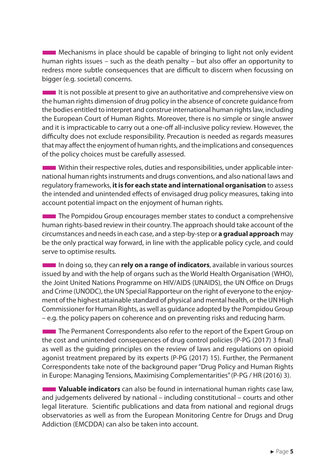**THE Mechanisms in place should be capable of bringing to light not only evident** human rights issues – such as the death penalty – but also offer an opportunity to redress more subtle consequences that are difficult to discern when focussing on bigger (e.g. societal) concerns.

■It is not possible at present to give an authoritative and comprehensive view on the human rights dimension of drug policy in the absence of concrete guidance from the bodies entitled to interpret and construe international human rights law, including the European Court of Human Rights. Moreover, there is no simple or single answer and it is impracticable to carry out a one-off all-inclusive policy review. However, the difficulty does not exclude responsibility. Precaution is needed as regards measures that may affect the enjoyment of human rights, and the implications and consequences of the policy choices must be carefully assessed.

**THE Within their respective roles, duties and responsibilities, under applicable inter**national human rights instruments and drugs conventions, and also national laws and regulatory frameworks, **it is for each state and international organisation** to assess the intended and unintended effects of envisaged drug policy measures, taking into account potential impact on the enjoyment of human rights.

**The Pompidou Group encourages member states to conduct a comprehensive** human rights-based review in their country. The approach should take account of the circumstances and needs in each case, and a step-by-step or **a gradual approach** may be the only practical way forward, in line with the applicable policy cycle, and could serve to optimise results.

**IDEE** In doing so, they can **rely on a range of indicators**, available in various sources issued by and with the help of organs such as the World Health Organisation (WHO), the Joint United Nations Programme on HIV/AIDS (UNAIDS), the UN Office on Drugs and Crime (UNODC), the UN Special Rapporteur on the right of everyone to the enjoyment of the highest attainable standard of physical and mental health, or the UN High Commissioner for Human Rights, as well as guidance adopted by the Pompidou Group – e.g. the policy papers on coherence and on preventing risks and reducing harm.

**The Permanent Correspondents also refer to the report of the Expert Group on** the cost and unintended consequences of drug control policies (P-PG (2017) 3 final) as well as the guiding principles on the review of laws and regulations on opioid agonist treatment prepared by its experts (P-PG (2017) 15). Further, the Permanent Correspondents take note of the background paper "Drug Policy and Human Rights in Europe: Managing Tensions, Maximising Complementarities" (P-PG / HR (2016) 3).

■**Valuable indicators** can also be found in international human rights case law, and judgements delivered by national – including constitutional – courts and other legal literature. Scientific publications and data from national and regional drugs observatories as well as from the European Monitoring Centre for Drugs and Drug Addiction (EMCDDA) can also be taken into account.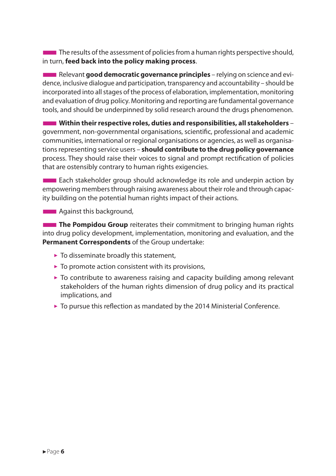**The results of the assessment of policies from a human rights perspective should,** in turn, **feed back into the policy making process**.

**EXECUTE:** Relevant **good democratic governance principles** – relying on science and evidence, inclusive dialogue and participation, transparency and accountability – should be incorporated into all stages of the process of elaboration, implementation, monitoring and evaluation of drug policy. Monitoring and reporting are fundamental governance tools, and should be underpinned by solid research around the drugs phenomenon.

■**Within their respective roles, duties and responsibilities, all stakeholders** – government, non-governmental organisations, scientific, professional and academic communities, international or regional organisations or agencies, as well as organisations representing service users – **should contribute to the drug policy governance** process. They should raise their voices to signal and prompt rectification of policies that are ostensibly contrary to human rights exigencies.

**EXCO** Each stakeholder group should acknowledge its role and underpin action by empowering members through raising awareness about their role and through capacity building on the potential human rights impact of their actions.

**BEE** Against this background,

**The Pompidou Group** reiterates their commitment to bringing human rights into drug policy development, implementation, monitoring and evaluation, and the **Permanent Correspondents** of the Group undertake:

- $\triangleright$  To disseminate broadly this statement,
- $\triangleright$  To promote action consistent with its provisions,
- $\triangleright$  To contribute to awareness raising and capacity building among relevant stakeholders of the human rights dimension of drug policy and its practical implications, and
- $\triangleright$  To pursue this reflection as mandated by the 2014 Ministerial Conference.